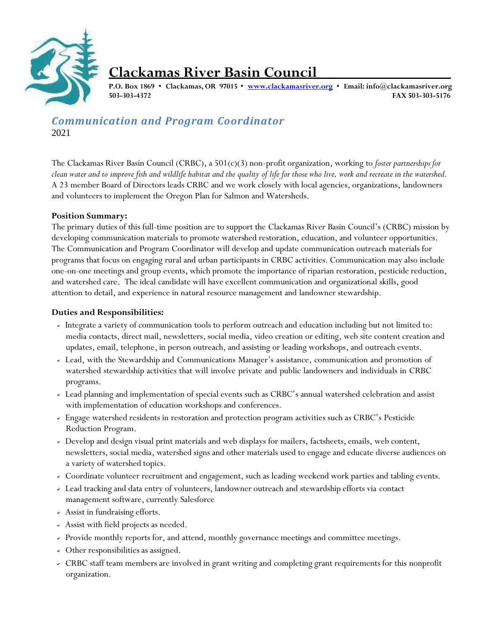

# **Clackamas River Basin Council**

**P.O. Box 1869 • Clackamas, OR 97015 • [www.clackamasriver.org](http://www.clackamasriver.org/) • Email: [info@clackamasriver.org](mailto:info@clackamasriver.org) 503-303-4372 FAX 503-303-5176**

*Communication and Program Coordinator* 2021

The Clackamas River Basin Council (CRBC), a 501(c)(3) non-profit organization, working to *foster partnerships for*  clean water and to improve fish and wildlife habitat and the quality of life for those who live, work and recreate in the watershed. A 23 member Board of Directors leads CRBC and we work closely with local agencies, organizations, landowners and volunteers to implement the Oregon Plan for Salmon and Watersheds.

# **Position Summary:**

The primary duties of this full-time position are to support the Clackamas River Basin Council's (CRBC) mission by developing communication materials to promote watershed restoration, education, and volunteer opportunities. The Communication and Program Coordinator will develop and update communication outreach materials for programs that focus on engaging rural and urban participants in CRBC activities. Communication may also include one-on-one meetings and group events, which promote the importance of riparian restoration, pesticide reduction, and watershed care. The ideal candidate will have excellent communication and organizational skills, good attention to detail, and experience in natural resource management and landowner stewardship.

# **Duties and Responsibilities:**

- Integrate a variety of communication tools to perform outreach and education including but not limited to: media contacts, direct mail, newsletters, social media, video creation or editing, web site content creation and updates, email, telephone, in person outreach, and assisting or leading workshops, and outreach events.
- Lead, with the Stewardship and Communications Manager's assistance, communication and promotion of watershed stewardship activities that will involve private and public landowners and individuals in CRBC programs.
- Lead planning and implementation of special events such as CRBC's annual watershed celebration and assist with implementation of education workshops and conferences.
- Engage watershed residents in restoration and protection program activities such as CRBC's Pesticide Reduction Program.
- Develop and design visual print materials and web displays for mailers, factsheets, emails, web content, newsletters, social media, watershed signs and other materials used to engage and educate diverse audiences on a variety of watershed topics.
- Coordinate volunteer recruitment and engagement, such as leading weekend work parties and tabling events.
- Lead tracking and data entry of volunteers, landowner outreach and stewardship efforts via contact management software, currently Salesforce
- Assist in fundraising efforts.
- Assist with field projects as needed.
- Provide monthly reports for, and attend, monthly governance meetings and committee meetings.
- Other responsibilities as assigned.
- CRBC staff team members are involved in grant writing and completing grant requirements for this nonprofit organization.